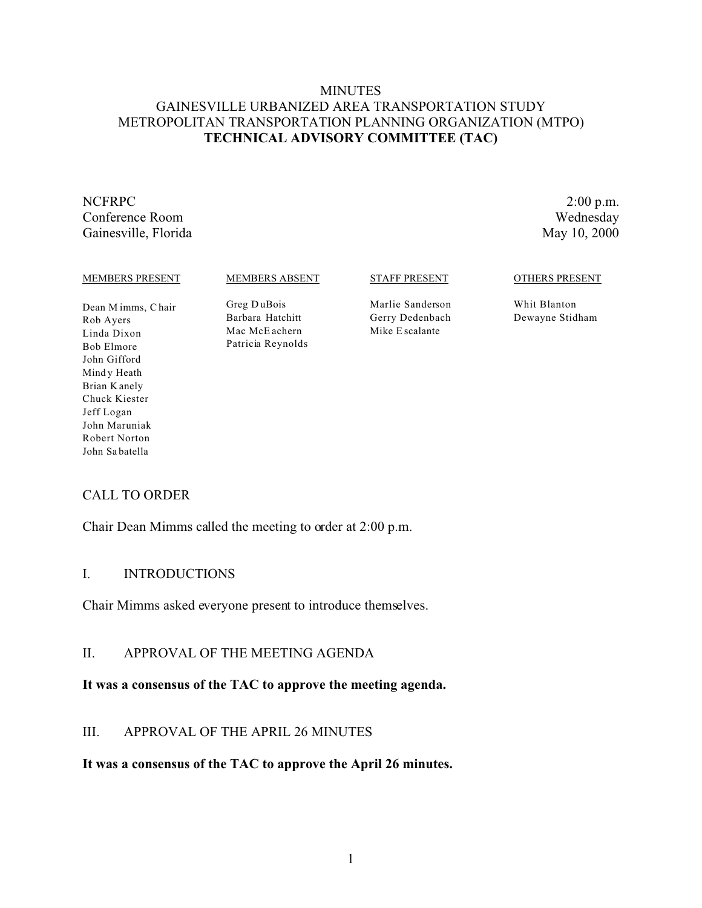### **MINUTES** GAINESVILLE URBANIZED AREA TRANSPORTATION STUDY METROPOLITAN TRANSPORTATION PLANNING ORGANIZATION (MTPO) **TECHNICAL ADVISORY COMMITTEE (TAC)**

#### NCFRPC 2:00 p.m. Conference Room Wednesday Gainesville, Florida May 10, 2000

#### MEMBERS PRESENT

MEMBERS ABSENT

Greg D uBois Barbara Hatchitt Mac McE achern Patricia Reynolds STAFF PRESENT

Marlie Sanderson Gerry Dedenbach Mike E scalante

OTHERS PRESENT

Whit Blanton Dewayne Stidham

Dean M imms, C hair Rob Ayers Linda Dixon Bob Elmore John Gifford Mind y Heath Brian K anely Chuck Kiester Jeff Logan John Maruniak Robert Norton John Sa batella

# CALL TO ORDER

Chair Dean Mimms called the meeting to order at 2:00 p.m.

# I. INTRODUCTIONS

Chair Mimms asked everyone present to introduce themselves.

# II. APPROVAL OF THE MEETING AGENDA

# **It was a consensus of the TAC to approve the meeting agenda.**

# III. APPROVAL OF THE APRIL 26 MINUTES

#### **It was a consensus of the TAC to approve the April 26 minutes.**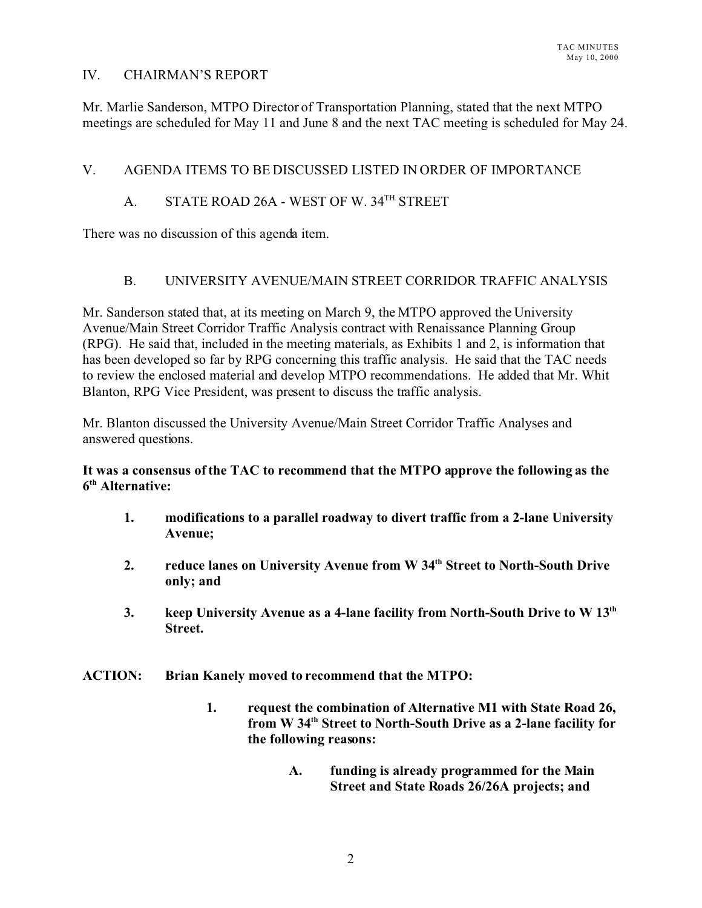### IV. CHAIRMAN'S REPORT

Mr. Marlie Sanderson, MTPO Director of Transportation Planning, stated that the next MTPO meetings are scheduled for May 11 and June 8 and the next TAC meeting is scheduled for May 24.

# V. AGENDA ITEMS TO BE DISCUSSED LISTED IN ORDER OF IMPORTANCE

# A. STATE ROAD 26A - WEST OF W. 34<sup>TH</sup> STREET

There was no discussion of this agenda item.

# B. UNIVERSITY AVENUE/MAIN STREET CORRIDOR TRAFFIC ANALYSIS

Mr. Sanderson stated that, at its meeting on March 9, the MTPO approved the University Avenue/Main Street Corridor Traffic Analysis contract with Renaissance Planning Group (RPG). He said that, included in the meeting materials, as Exhibits 1 and 2, is information that has been developed so far by RPG concerning this traffic analysis. He said that the TAC needs to review the enclosed material and develop MTPO recommendations. He added that Mr. Whit Blanton, RPG Vice President, was present to discuss the traffic analysis.

Mr. Blanton discussed the University Avenue/Main Street Corridor Traffic Analyses and answered questions.

### **It was a consensus of the TAC to recommend that the MTPO approve the following as the 6 th Alternative:**

- **1. modifications to a parallel roadway to divert traffic from a 2-lane University Avenue;**
- **2. reduce lanes on University Avenue from W 34th Street to North-South Drive only; and**
- **3. keep University Avenue as a 4-lane facility from North-South Drive to W 13th Street.**
- **ACTION: Brian Kanely moved to recommend that the MTPO:**
	- **1. request the combination of Alternative M1 with State Road 26, from W 34th Street to North-South Drive as a 2-lane facility for the following reasons:**
		- **A. funding is already programmed for the Main Street and State Roads 26/26A projects; and**